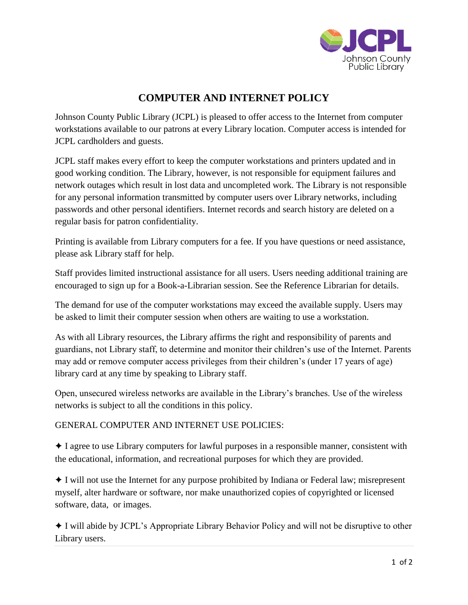

## **COMPUTER AND INTERNET POLICY**

Johnson County Public Library (JCPL) is pleased to offer access to the Internet from computer workstations available to our patrons at every Library location. Computer access is intended for JCPL cardholders and guests.

JCPL staff makes every effort to keep the computer workstations and printers updated and in good working condition. The Library, however, is not responsible for equipment failures and network outages which result in lost data and uncompleted work. The Library is not responsible for any personal information transmitted by computer users over Library networks, including passwords and other personal identifiers. Internet records and search history are deleted on a regular basis for patron confidentiality.

Printing is available from Library computers for a fee. If you have questions or need assistance, please ask Library staff for help.

Staff provides limited instructional assistance for all users. Users needing additional training are encouraged to sign up for a Book-a-Librarian session. See the Reference Librarian for details.

The demand for use of the computer workstations may exceed the available supply. Users may be asked to limit their computer session when others are waiting to use a workstation.

As with all Library resources, the Library affirms the right and responsibility of parents and guardians, not Library staff, to determine and monitor their children's use of the Internet. Parents may add or remove computer access privileges from their children's (under 17 years of age) library card at any time by speaking to Library staff.

Open, unsecured wireless networks are available in the Library's branches. Use of the wireless networks is subject to all the conditions in this policy.

## GENERAL COMPUTER AND INTERNET USE POLICIES:

✦ I agree to use Library computers for lawful purposes in a responsible manner, consistent with the educational, information, and recreational purposes for which they are provided.

✦ I will not use the Internet for any purpose prohibited by Indiana or Federal law; misrepresent myself, alter hardware or software, nor make unauthorized copies of copyrighted or licensed software, data, or images.

✦ I will abide by JCPL's Appropriate Library Behavior Policy and will not be disruptive to other Library users.